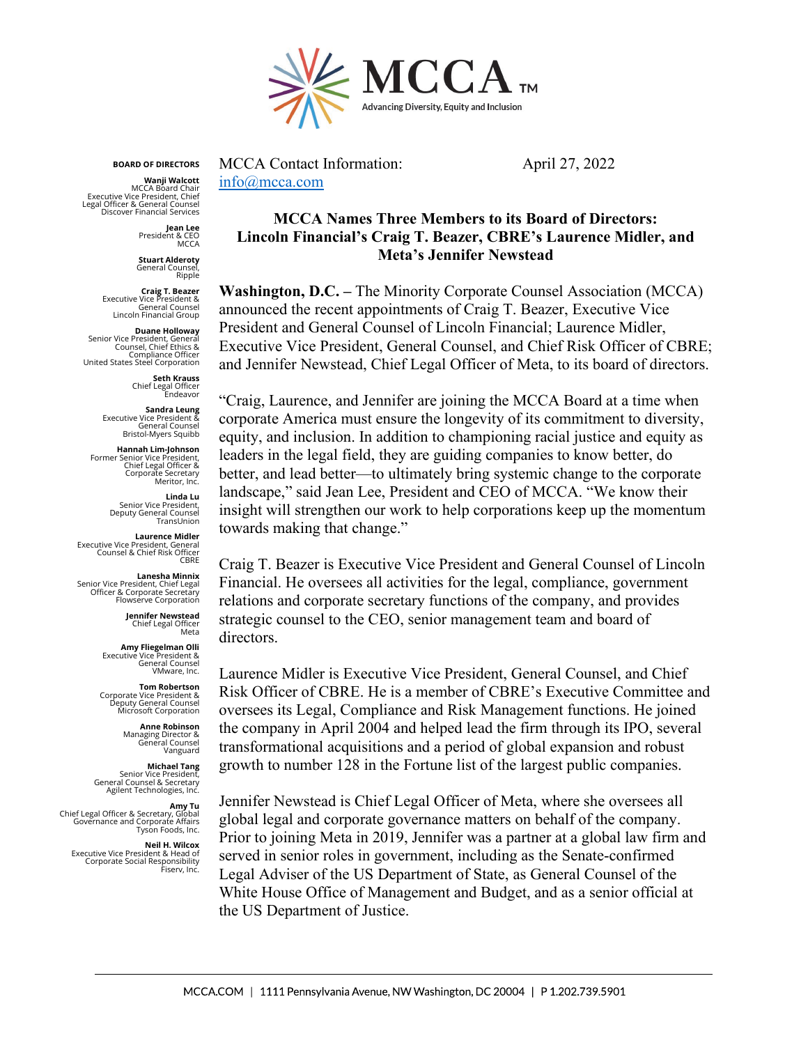

**BOARD OF DIRECTORS**

**Wanji Walcott** MCCA Board Chair Executive Vice President, Chief Legal Officer & General Counsel Discover Financial Ser

> **Jean Lee** President & CEO **MCCA**

**Stuart Alderoty** General Counsel, Ripple

**Craig T. Beazer<br>& Executive Vice President**<br>General Counsel<br>Lincoln Financial Group

**Duane Holloway<br>Senior Vice President, General<br>Counsel, Chief Ethics &** Compliance Officer United States Steel Corporation

> **Seth Krauss** Chief Legal Officer Endeavor

**Sandra Leung** Executive Vice President & General Counsel Bristol-Myers Squibb

**Hannah Lim-Johnson** Former Senior Vice President, Chief Legal Officer & Corporate Secretary Meritor, Inc.

> **Linda Lu** Senior Vice President, Deputy General Counsel TransLinion

**Laurence Midler<br>Executive Vice President, General<br>Counsel & Chief Risk Officer CBRE** 

**Lanesha Minnix** Senior Vice President, Chief Legal Officer & Corporate Secretary Flowserve Corporation

> **Jennifer Newstead** Chief Legal Officer<br>Chief Legal Officer<br>Meta

**Amy Fliegelman Olli** Executive Vice President & General Counsel VMware, Inc.

**Tom Robertson** Corporate Vice President & Deputy General Counsel Microsoft Corporation

**Anne Robinson**<br>& Managing Director<br>General Counsel<br>Vanguard

**Michael Tang** Senior Vice President, General Counsel & Secretary Agilent Technologies, Inc.

**Amy Tu** Chief Legal Officer & Secretary, Global Governance and Corporate Affairs Tyson Foods, Inc.

**Neil H. Wilcox**<br>Executive Vice President & Head of<br>Corporate Social Responsibility<br>Fiserv, Inc.

MCCA Contact Information: April 27, 2022 [info@mcca.com](mailto:info@mcca.com)

## **MCCA Names Three Members to its Board of Directors: Lincoln Financial's Craig T. Beazer, CBRE's Laurence Midler, and Meta's Jennifer Newstead**

**Washington, D.C. –** The Minority Corporate Counsel Association (MCCA) announced the recent appointments of Craig T. Beazer, Executive Vice President and General Counsel of Lincoln Financial; Laurence Midler, Executive Vice President, General Counsel, and Chief Risk Officer of CBRE; and Jennifer Newstead, Chief Legal Officer of Meta, to its board of directors.

"Craig, Laurence, and Jennifer are joining the MCCA Board at a time when corporate America must ensure the longevity of its commitment to diversity, equity, and inclusion. In addition to championing racial justice and equity as leaders in the legal field, they are guiding companies to know better, do better, and lead better—to ultimately bring systemic change to the corporate landscape," said Jean Lee, President and CEO of MCCA. "We know their insight will strengthen our work to help corporations keep up the momentum towards making that change."

Craig T. Beazer is Executive Vice President and General Counsel of Lincoln Financial. He oversees all activities for the legal, compliance, government relations and corporate secretary functions of the company, and provides strategic counsel to the CEO, senior management team and board of directors.

Laurence Midler is Executive Vice President, General Counsel, and Chief Risk Officer of CBRE. He is a member of CBRE's Executive Committee and oversees its Legal, Compliance and Risk Management functions. He joined the company in April 2004 and helped lead the firm through its IPO, several transformational acquisitions and a period of global expansion and robust growth to number 128 in the Fortune list of the largest public companies.

Jennifer Newstead is Chief Legal Officer of Meta, where she oversees all global legal and corporate governance matters on behalf of the company. Prior to joining Meta in 2019, Jennifer was a partner at a global law firm and served in senior roles in government, including as the Senate-confirmed Legal Adviser of the US Department of State, as General Counsel of the White House Office of Management and Budget, and as a senior official at the US Department of Justice.